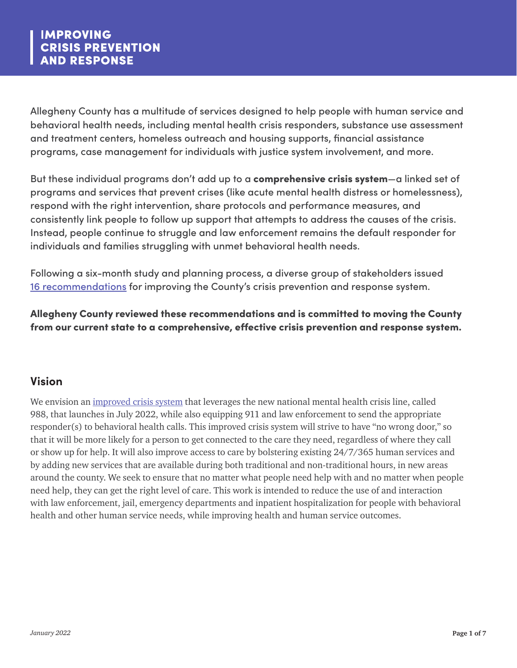Allegheny County has a multitude of services designed to help people with human service and behavioral health needs, including mental health crisis responders, substance use assessment and treatment centers, homeless outreach and housing supports, financial assistance programs, case management for individuals with justice system involvement, and more.

But these individual programs don't add up to a comprehensive crisis system—a linked set of programs and services that prevent crises (like acute mental health distress or homelessness), respond with the right intervention, share protocols and performance measures, and consistently link people to follow up support that attempts to address the causes of the crisis. Instead, people continue to struggle and law enforcement remains the default responder for individuals and families struggling with unmet behavioral health needs.

Following a six-month study and planning process, a diverse group of stakeholders issued [16 recommendations](https://www.alleghenycounty.us/Human-Services/News-Events/Accomplishments/Improving-Crisis-Prevention-and-Response.aspx) for improving the County's crisis prevention and response system.

Allegheny County reviewed these recommendations and is committed to moving the County from our current state to a comprehensive, effective crisis prevention and response system.

# **Vision**

We envision an [improved crisis system](https://www.alleghenycounty.us/Human-Services/News-Events/Accomplishments/Crisis-Prevention-and-Response/Improved-Crisis-System.aspx) that leverages the new national mental health crisis line, called 988, that launches in July 2022, while also equipping 911 and law enforcement to send the appropriate responder(s) to behavioral health calls. This improved crisis system will strive to have "no wrong door," so that it will be more likely for a person to get connected to the care they need, regardless of where they call or show up for help. It will also improve access to care by bolstering existing 24/7/365 human services and by adding new services that are available during both traditional and non-traditional hours, in new areas around the county. We seek to ensure that no matter what people need help with and no matter when people need help, they can get the right level of care. This work is intended to reduce the use of and interaction with law enforcement, jail, emergency departments and inpatient hospitalization for people with behavioral health and other human service needs, while improving health and human service outcomes.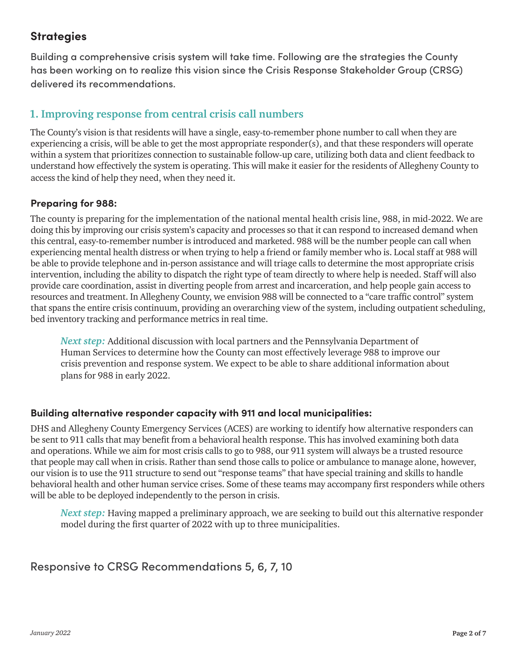# **Strategies**

Building a comprehensive crisis system will take time. Following are the strategies the County has been working on to realize this vision since the Crisis Response Stakeholder Group (CRSG) delivered its recommendations.

## **1. Improving response from central crisis call numbers**

The County's vision is that residents will have a single, easy-to-remember phone number to call when they are experiencing a crisis, will be able to get the most appropriate responder(s), and that these responders will operate within a system that prioritizes connection to sustainable follow-up care, utilizing both data and client feedback to understand how effectively the system is operating. This will make it easier for the residents of Allegheny County to access the kind of help they need, when they need it.

### **Preparing for 988:**

The county is preparing for the implementation of the national mental health crisis line, 988, in mid-2022. We are doing this by improving our crisis system's capacity and processes so that it can respond to increased demand when this central, easy-to-remember number is introduced and marketed. 988 will be the number people can call when experiencing mental health distress or when trying to help a friend or family member who is. Local staff at 988 will be able to provide telephone and in-person assistance and will triage calls to determine the most appropriate crisis intervention, including the ability to dispatch the right type of team directly to where help is needed. Staff will also provide care coordination, assist in diverting people from arrest and incarceration, and help people gain access to resources and treatment. In Allegheny County, we envision 988 will be connected to a "care traffic control" system that spans the entire crisis continuum, providing an overarching view of the system, including outpatient scheduling, bed inventory tracking and performance metrics in real time.

*Next step:* Additional discussion with local partners and the Pennsylvania Department of Human Services to determine how the County can most effectively leverage 988 to improve our crisis prevention and response system. We expect to be able to share additional information about plans for 988 in early 2022.

### **Building alternative responder capacity with 911 and local municipalities:**

DHS and Allegheny County Emergency Services (ACES) are working to identify how alternative responders can be sent to 911 calls that may benefit from a behavioral health response. This has involved examining both data and operations. While we aim for most crisis calls to go to 988, our 911 system will always be a trusted resource that people may call when in crisis. Rather than send those calls to police or ambulance to manage alone, however, our vision is to use the 911 structure to send out "response teams" that have special training and skills to handle behavioral health and other human service crises. Some of these teams may accompany first responders while others will be able to be deployed independently to the person in crisis.

*Next step:* Having mapped a preliminary approach, we are seeking to build out this alternative responder model during the first quarter of 2022 with up to three municipalities.

Responsive to CRSG Recommendations 5, 6, 7, 10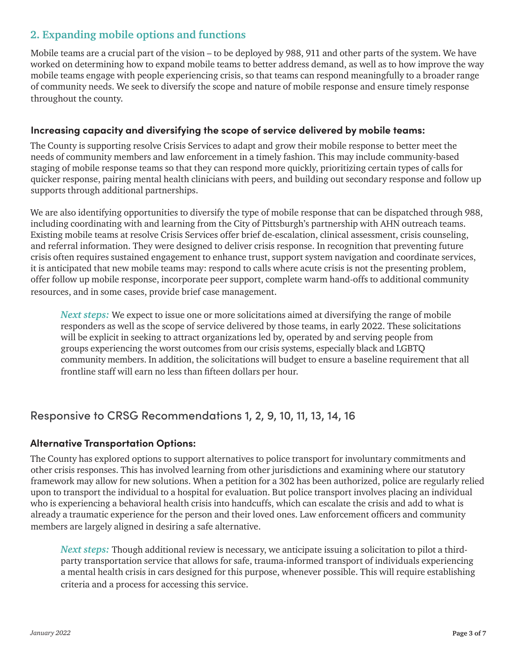## **2. Expanding mobile options and functions**

Mobile teams are a crucial part of the vision – to be deployed by 988, 911 and other parts of the system. We have worked on determining how to expand mobile teams to better address demand, as well as to how improve the way mobile teams engage with people experiencing crisis, so that teams can respond meaningfully to a broader range of community needs. We seek to diversify the scope and nature of mobile response and ensure timely response throughout the county.

### **Increasing capacity and diversifying the scope of service delivered by mobile teams:**

The County is supporting resolve Crisis Services to adapt and grow their mobile response to better meet the needs of community members and law enforcement in a timely fashion. This may include community-based staging of mobile response teams so that they can respond more quickly, prioritizing certain types of calls for quicker response, pairing mental health clinicians with peers, and building out secondary response and follow up supports through additional partnerships.

We are also identifying opportunities to diversify the type of mobile response that can be dispatched through 988, including coordinating with and learning from the City of Pittsburgh's partnership with AHN outreach teams. Existing mobile teams at resolve Crisis Services offer brief de-escalation, clinical assessment, crisis counseling, and referral information. They were designed to deliver crisis response. In recognition that preventing future crisis often requires sustained engagement to enhance trust, support system navigation and coordinate services, it is anticipated that new mobile teams may: respond to calls where acute crisis is not the presenting problem, offer follow up mobile response, incorporate peer support, complete warm hand-offs to additional community resources, and in some cases, provide brief case management.

*Next steps:* We expect to issue one or more solicitations aimed at diversifying the range of mobile responders as well as the scope of service delivered by those teams, in early 2022. These solicitations will be explicit in seeking to attract organizations led by, operated by and serving people from groups experiencing the worst outcomes from our crisis systems, especially black and LGBTQ community members. In addition, the solicitations will budget to ensure a baseline requirement that all frontline staff will earn no less than fifteen dollars per hour.

## Responsive to CRSG Recommendations 1, 2, 9, 10, 11, 13, 14, 16

### **Alternative Transportation Options:**

The County has explored options to support alternatives to police transport for involuntary commitments and other crisis responses. This has involved learning from other jurisdictions and examining where our statutory framework may allow for new solutions. When a petition for a 302 has been authorized, police are regularly relied upon to transport the individual to a hospital for evaluation. But police transport involves placing an individual who is experiencing a behavioral health crisis into handcuffs, which can escalate the crisis and add to what is already a traumatic experience for the person and their loved ones. Law enforcement officers and community members are largely aligned in desiring a safe alternative.

*Next steps:* Though additional review is necessary, we anticipate issuing a solicitation to pilot a thirdparty transportation service that allows for safe, trauma-informed transport of individuals experiencing a mental health crisis in cars designed for this purpose, whenever possible. This will require establishing criteria and a process for accessing this service.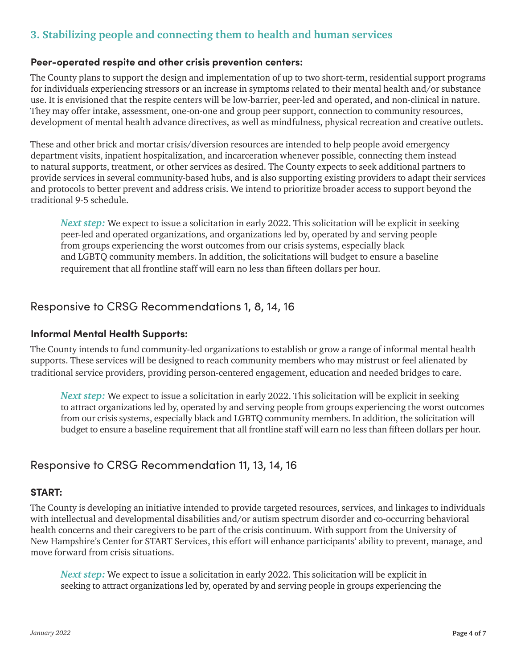# **3. Stabilizing people and connecting them to health and human services**

#### **Peer-operated respite and other crisis prevention centers:**

The County plans to support the design and implementation of up to two short-term, residential support programs for individuals experiencing stressors or an increase in symptoms related to their mental health and/or substance use. It is envisioned that the respite centers will be low-barrier, peer-led and operated, and non-clinical in nature. They may offer intake, assessment, one-on-one and group peer support, connection to community resources, development of mental health advance directives, as well as mindfulness, physical recreation and creative outlets.

These and other brick and mortar crisis/diversion resources are intended to help people avoid emergency department visits, inpatient hospitalization, and incarceration whenever possible, connecting them instead to natural supports, treatment, or other services as desired. The County expects to seek additional partners to provide services in several community-based hubs, and is also supporting existing providers to adapt their services and protocols to better prevent and address crisis. We intend to prioritize broader access to support beyond the traditional 9-5 schedule.

*Next step:* We expect to issue a solicitation in early 2022. This solicitation will be explicit in seeking peer-led and operated organizations, and organizations led by, operated by and serving people from groups experiencing the worst outcomes from our crisis systems, especially black and LGBTQ community members. In addition, the solicitations will budget to ensure a baseline requirement that all frontline staff will earn no less than fifteen dollars per hour.

### Responsive to CRSG Recommendations 1, 8, 14, 16

#### **Informal Mental Health Supports:**

The County intends to fund community-led organizations to establish or grow a range of informal mental health supports. These services will be designed to reach community members who may mistrust or feel alienated by traditional service providers, providing person-centered engagement, education and needed bridges to care.

*Next step:* We expect to issue a solicitation in early 2022. This solicitation will be explicit in seeking to attract organizations led by, operated by and serving people from groups experiencing the worst outcomes from our crisis systems, especially black and LGBTQ community members. In addition, the solicitation will budget to ensure a baseline requirement that all frontline staff will earn no less than fifteen dollars per hour.

### Responsive to CRSG Recommendation 11, 13, 14, 16

#### **START:**

The County is developing an initiative intended to provide targeted resources, services, and linkages to individuals with intellectual and developmental disabilities and/or autism spectrum disorder and co-occurring behavioral health concerns and their caregivers to be part of the crisis continuum. With support from the University of New Hampshire's Center for START Services, this effort will enhance participants' ability to prevent, manage, and move forward from crisis situations.

*Next step:* We expect to issue a solicitation in early 2022. This solicitation will be explicit in seeking to attract organizations led by, operated by and serving people in groups experiencing the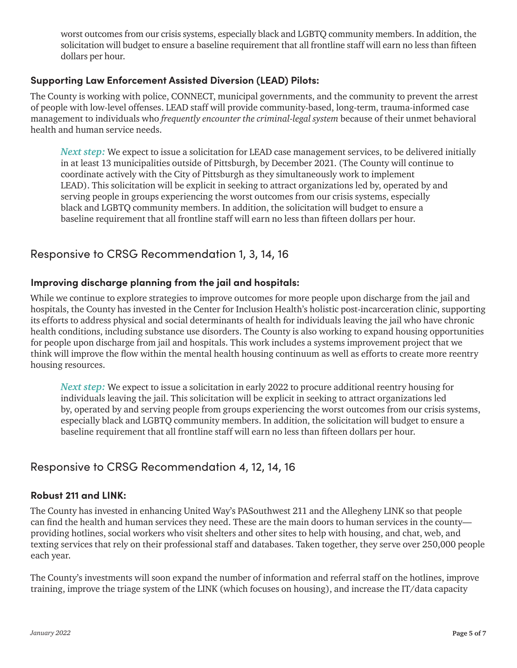worst outcomes from our crisis systems, especially black and LGBTQ community members. In addition, the solicitation will budget to ensure a baseline requirement that all frontline staff will earn no less than fifteen dollars per hour.

### **Supporting Law Enforcement Assisted Diversion (LEAD) Pilots:**

The County is working with police, CONNECT, municipal governments, and the community to prevent the arrest of people with low-level offenses. LEAD staff will provide community-based, long-term, trauma-informed case management to individuals who *frequently encounter the criminal-legal system* because of their unmet behavioral health and human service needs.

*Next step:* We expect to issue a solicitation for LEAD case management services, to be delivered initially in at least 13 municipalities outside of Pittsburgh, by December 2021. (The County will continue to coordinate actively with the City of Pittsburgh as they simultaneously work to implement LEAD). This solicitation will be explicit in seeking to attract organizations led by, operated by and serving people in groups experiencing the worst outcomes from our crisis systems, especially black and LGBTQ community members. In addition, the solicitation will budget to ensure a baseline requirement that all frontline staff will earn no less than fifteen dollars per hour.

# Responsive to CRSG Recommendation 1, 3, 14, 16

### **Improving discharge planning from the jail and hospitals:**

While we continue to explore strategies to improve outcomes for more people upon discharge from the jail and hospitals, the County has invested in the Center for Inclusion Health's holistic post-incarceration clinic, supporting its efforts to address physical and social determinants of health for individuals leaving the jail who have chronic health conditions, including substance use disorders. The County is also working to expand housing opportunities for people upon discharge from jail and hospitals. This work includes a systems improvement project that we think will improve the flow within the mental health housing continuum as well as efforts to create more reentry housing resources.

*Next step:* We expect to issue a solicitation in early 2022 to procure additional reentry housing for individuals leaving the jail. This solicitation will be explicit in seeking to attract organizations led by, operated by and serving people from groups experiencing the worst outcomes from our crisis systems, especially black and LGBTQ community members. In addition, the solicitation will budget to ensure a baseline requirement that all frontline staff will earn no less than fifteen dollars per hour.

## Responsive to CRSG Recommendation 4, 12, 14, 16

### **Robust 211 and LINK:**

The County has invested in enhancing United Way's PASouthwest 211 and the Allegheny LINK so that people can find the health and human services they need. These are the main doors to human services in the county providing hotlines, social workers who visit shelters and other sites to help with housing, and chat, web, and texting services that rely on their professional staff and databases. Taken together, they serve over 250,000 people each year.

The County's investments will soon expand the number of information and referral staff on the hotlines, improve training, improve the triage system of the LINK (which focuses on housing), and increase the IT/data capacity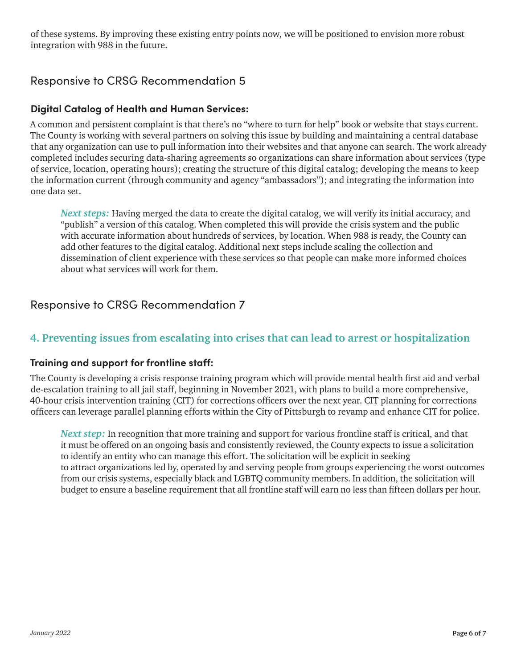of these systems. By improving these existing entry points now, we will be positioned to envision more robust integration with 988 in the future.

# Responsive to CRSG Recommendation 5

### **Digital Catalog of Health and Human Services:**

A common and persistent complaint is that there's no "where to turn for help" book or website that stays current. The County is working with several partners on solving this issue by building and maintaining a central database that any organization can use to pull information into their websites and that anyone can search. The work already completed includes securing data-sharing agreements so organizations can share information about services (type of service, location, operating hours); creating the structure of this digital catalog; developing the means to keep the information current (through community and agency "ambassadors"); and integrating the information into one data set.

*Next steps:* Having merged the data to create the digital catalog, we will verify its initial accuracy, and "publish" a version of this catalog. When completed this will provide the crisis system and the public with accurate information about hundreds of services, by location. When 988 is ready, the County can add other features to the digital catalog. Additional next steps include scaling the collection and dissemination of client experience with these services so that people can make more informed choices about what services will work for them.

# Responsive to CRSG Recommendation 7

## **4. Preventing issues from escalating into crises that can lead to arrest or hospitalization**

### **Training and support for frontline staff:**

The County is developing a crisis response training program which will provide mental health first aid and verbal de-escalation training to all jail staff, beginning in November 2021, with plans to build a more comprehensive, 40-hour crisis intervention training (CIT) for corrections officers over the next year. CIT planning for corrections officers can leverage parallel planning efforts within the City of Pittsburgh to revamp and enhance CIT for police.

*Next step:* In recognition that more training and support for various frontline staff is critical, and that it must be offered on an ongoing basis and consistently reviewed, the County expects to issue a solicitation to identify an entity who can manage this effort. The solicitation will be explicit in seeking to attract organizations led by, operated by and serving people from groups experiencing the worst outcomes from our crisis systems, especially black and LGBTQ community members. In addition, the solicitation will budget to ensure a baseline requirement that all frontline staff will earn no less than fifteen dollars per hour.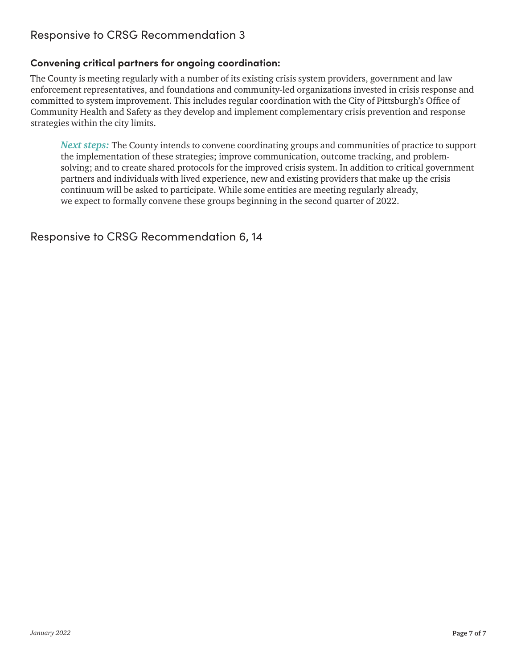# Responsive to CRSG Recommendation 3

### **Convening critical partners for ongoing coordination:**

The County is meeting regularly with a number of its existing crisis system providers, government and law enforcement representatives, and foundations and community-led organizations invested in crisis response and committed to system improvement. This includes regular coordination with the City of Pittsburgh's Office of Community Health and Safety as they develop and implement complementary crisis prevention and response strategies within the city limits.

*Next steps:* The County intends to convene coordinating groups and communities of practice to support the implementation of these strategies; improve communication, outcome tracking, and problemsolving; and to create shared protocols for the improved crisis system. In addition to critical government partners and individuals with lived experience, new and existing providers that make up the crisis continuum will be asked to participate. While some entities are meeting regularly already, we expect to formally convene these groups beginning in the second quarter of 2022.

Responsive to CRSG Recommendation 6, 14